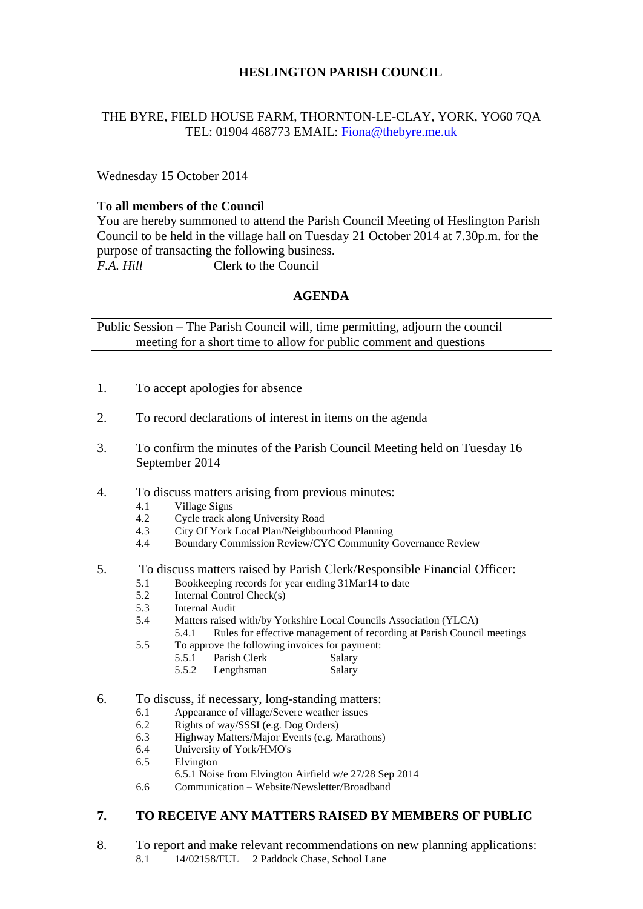## **HESLINGTON PARISH COUNCIL**

## THE BYRE, FIELD HOUSE FARM, THORNTON-LE-CLAY, YORK, YO60 7QA TEL: 01904 468773 EMAIL: [Fiona@thebyre.me.uk](mailto:Fiona@thebyre.me.uk)

Wednesday 15 October 2014

## **To all members of the Council**

You are hereby summoned to attend the Parish Council Meeting of Heslington Parish Council to be held in the village hall on Tuesday 21 October 2014 at 7.30p.m. for the purpose of transacting the following business. *F.A. Hill* Clerk to the Council

## **AGENDA**

Public Session – The Parish Council will, time permitting, adjourn the council meeting for a short time to allow for public comment and questions

- 1. To accept apologies for absence
- 2. To record declarations of interest in items on the agenda
- 3. To confirm the minutes of the Parish Council Meeting held on Tuesday 16 September 2014
- 4. To discuss matters arising from previous minutes:
	- 4.1 Village Signs
	- 4.2 Cycle track along University Road
	- 4.3 City Of York Local Plan/Neighbourhood Planning
	- 4.4 Boundary Commission Review/CYC Community Governance Review

#### 5. To discuss matters raised by Parish Clerk/Responsible Financial Officer:

- 5.1 Bookkeeping records for year ending 31Mar14 to date
- 5.2 Internal Control Check(s)
- 5.3 Internal Audit
- 5.4 Matters raised with/by Yorkshire Local Councils Association (YLCA)
	- 5.4.1 Rules for effective management of recording at Parish Council meetings
- 5.5 To approve the following invoices for payment:
	- 5.5.1 Parish Clerk Salary 5.5.2 Lengthsman Salary
- 6. To discuss, if necessary, long-standing matters:
	- 6.1 Appearance of village/Severe weather issues
	- 6.2 Rights of way/SSSI (e.g. Dog Orders)
	- 6.3 Highway Matters/Major Events (e.g. Marathons)
	- 6.4 University of York/HMO's
	- 6.5 Elvington
	- 6.5.1 Noise from Elvington Airfield w/e 27/28 Sep 2014
	- 6.6 Communication Website/Newsletter/Broadband

# **7. TO RECEIVE ANY MATTERS RAISED BY MEMBERS OF PUBLIC**

8. To report and make relevant recommendations on new planning applications: 8.1 14/02158/FUL 2 Paddock Chase, School Lane